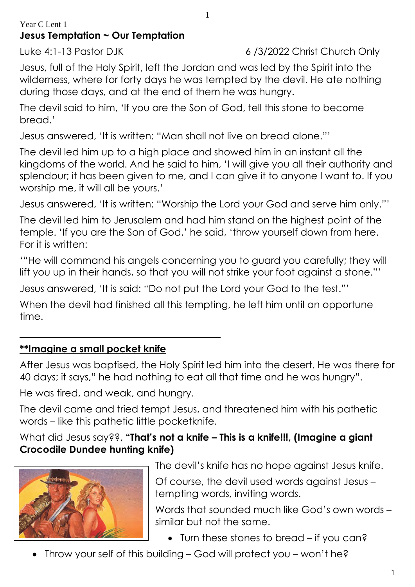## Year C Lent 1 **Jesus Temptation ~ Our Temptation**

Luke 4:1-13 Pastor DJK 6 /3/2022 Christ Church Only

Jesus, full of the Holy Spirit, left the Jordan and was led by the Spirit into the wilderness, where for forty days he was tempted by the devil. He ate nothing during those days, and at the end of them he was hungry.

1

The devil said to him, 'If you are the Son of God, tell this stone to become bread.'

Jesus answered, 'It is written: "Man shall not live on bread alone."'

The devil led him up to a high place and showed him in an instant all the kingdoms of the world. And he said to him, 'I will give you all their authority and splendour; it has been given to me, and I can give it to anyone I want to. If you worship me, it will all be yours.'

Jesus answered, 'It is written: "Worship the Lord your God and serve him only."'

The devil led him to Jerusalem and had him stand on the highest point of the temple. 'If you are the Son of God,' he said, 'throw yourself down from here. For it is written:

'"He will command his angels concerning you to guard you carefully; they will lift you up in their hands, so that you will not strike your foot against a stone."'

Jesus answered, 'It is said: "Do not put the Lord your God to the test."'

When the devil had finished all this tempting, he left him until an opportune time.

## **\*\*Imagine a small pocket knife**

After Jesus was baptised, the Holy Spirit led him into the desert. He was there for 40 days; it says," he had nothing to eat all that time and he was hungry".

He was tired, and weak, and hungry.

The devil came and tried tempt Jesus, and threatened him with his pathetic words – like this pathetic little pocketknife.

What did Jesus say??, **"That's not a knife – This is a knife!!!, (Imagine a giant Crocodile Dundee hunting knife)**



The devil's knife has no hope against Jesus knife.

Of course, the devil used words against Jesus – tempting words, inviting words.

Words that sounded much like God's own words – similar but not the same.

- Turn these stones to bread if you can?
- Throw your self of this building God will protect you won't he?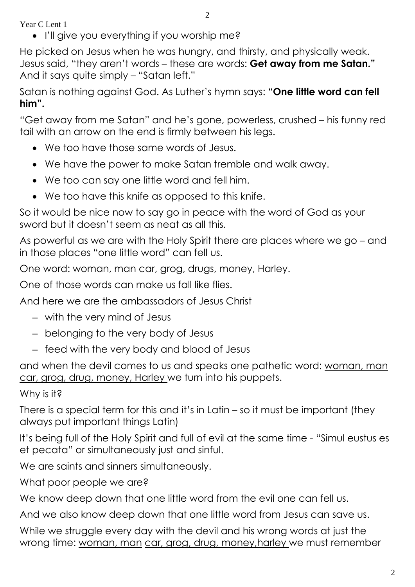Year C Lent 1

• I'll give you everything if you worship me?

He picked on Jesus when he was hungry, and thirsty, and physically weak. Jesus said, "they aren't words – these are words: **Get away from me Satan."** And it says quite simply – "Satan left."

Satan is nothing against God. As Luther's hymn says: "**One little word can fell him".**

"Get away from me Satan" and he's gone, powerless, crushed – his funny red tail with an arrow on the end is firmly between his legs.

- We too have those same words of Jesus.
- We have the power to make Satan tremble and walk away.
- We too can say one little word and fell him.
- We too have this knife as opposed to this knife.

So it would be nice now to say go in peace with the word of God as your sword but it doesn't seem as neat as all this.

As powerful as we are with the Holy Spirit there are places where we go – and in those places "one little word" can fell us.

One word: woman, man car, grog, drugs, money, Harley.

One of those words can make us fall like flies.

And here we are the ambassadors of Jesus Christ

- with the very mind of Jesus
- belonging to the very body of Jesus
- feed with the very body and blood of Jesus

and when the devil comes to us and speaks one pathetic word: woman, man car, grog, drug, money, Harley we turn into his puppets.

## Why is it?

There is a special term for this and it's in Latin – so it must be important (they always put important things Latin)

It's being full of the Holy Spirit and full of evil at the same time - "Simul eustus es et pecata" or simultaneously just and sinful.

We are saints and sinners simultaneously.

What poor people we are?

We know deep down that one little word from the evil one can fell us.

And we also know deep down that one little word from Jesus can save us.

While we struggle every day with the devil and his wrong words at just the wrong time: woman, man car, grog, drug, money, harley we must remember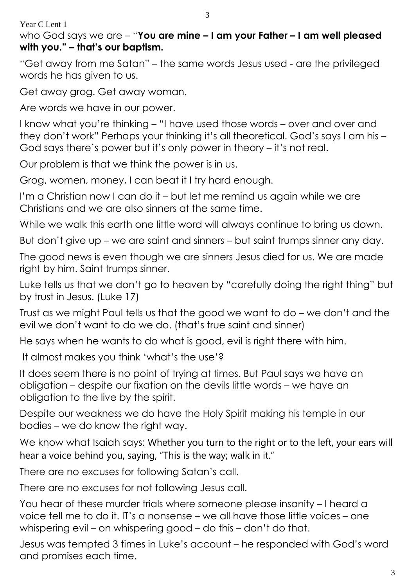Year C Lent 1

## who God says we are – "**You are mine – I am your Father – I am well pleased with you." – that's our baptism.**

"Get away from me Satan" – the same words Jesus used - are the privileged words he has given to us.

Get away grog. Get away woman.

Are words we have in our power.

I know what you're thinking – "I have used those words – over and over and they don't work" Perhaps your thinking it's all theoretical. God's says I am his – God says there's power but it's only power in theory – it's not real.

Our problem is that we think the power is in us.

Grog, women, money, I can beat it I try hard enough.

I'm a Christian now I can do it – but let me remind us again while we are Christians and we are also sinners at the same time.

While we walk this earth one little word will always continue to bring us down.

But don't give up – we are saint and sinners – but saint trumps sinner any day.

The good news is even though we are sinners Jesus died for us. We are made right by him. Saint trumps sinner.

Luke tells us that we don't go to heaven by "carefully doing the right thing" but by trust in Jesus. (Luke 17)

Trust as we might Paul tells us that the good we want to do – we don't and the evil we don't want to do we do. (that's true saint and sinner)

He says when he wants to do what is good, evil is right there with him.

It almost makes you think 'what's the use'?

It does seem there is no point of trying at times. But Paul says we have an obligation – despite our fixation on the devils little words – we have an obligation to the live by the spirit.

Despite our weakness we do have the Holy Spirit making his temple in our bodies – we do know the right way.

We know what Isaiah says: Whether you turn to the right or to the left, your ears will hear a voice behind you, saying, "This is the way; walk in it."

There are no excuses for following Satan's call.

There are no excuses for not following Jesus call.

You hear of these murder trials where someone please insanity – I heard a voice tell me to do it. IT's a nonsense – we all have those little voices – one whispering evil – on whispering good – do this – don't do that.

Jesus was tempted 3 times in Luke's account – he responded with God's word and promises each time.